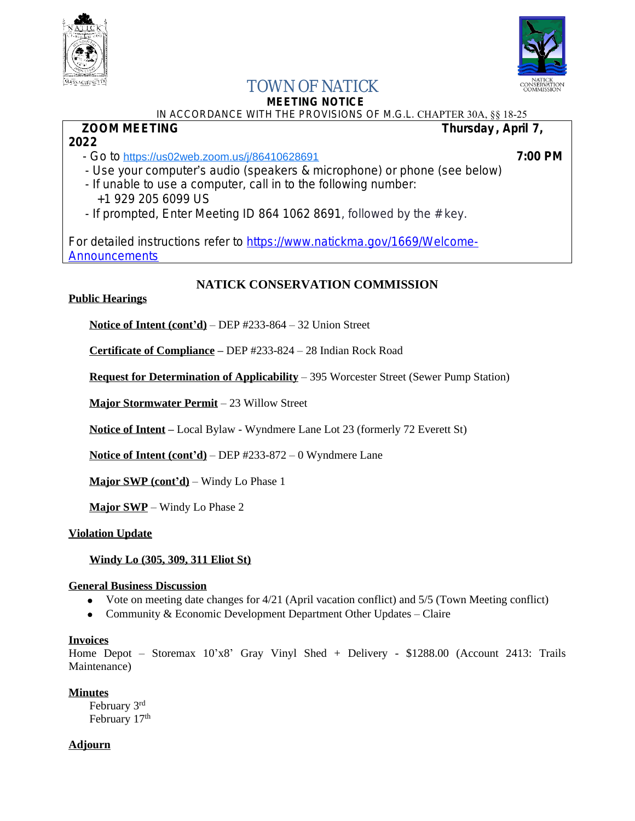

**2022**



## TOWN OF NATICK

# **MEETING NOTICE**

#### IN ACCORDANCE WITH THE PROVISIONS OF M.G.L. CHAPTER 30A, §§ 18-25<br>**700M MEETING** Thursday . April  **Thursday, April 7,**

- Go to <https://us02web.zoom.us/j/86410628691> **7:00 PM**

- Use your computer's audio (speakers & microphone) or phone (see below)
- If unable to use a computer, call in to the following number: +1 929 205 6099 US
- If prompted, Enter Meeting ID 864 1062 8691, followed by the  $#$  key.

For detailed instructions refer to [https://www.natickma.gov/1669/Welcome-](https://www.natickma.gov/1669/Welcome-Announcements)**Announcements** 

### **NATICK CONSERVATION COMMISSION**

#### **Public Hearings**

**Notice of Intent (cont'd)** – DEP #233-864 – 32 Union Street

**Certificate of Compliance –** DEP #233-824 – 28 Indian Rock Road

**Request for Determination of Applicability** – 395 Worcester Street (Sewer Pump Station)

**Major Stormwater Permit** – 23 Willow Street

**Notice of Intent –** Local Bylaw - Wyndmere Lane Lot 23 (formerly 72 Everett St)

**Notice of Intent (cont'd)** – DEP #233-872 – 0 Wyndmere Lane

**Major SWP (cont'd)** – Windy Lo Phase 1

**Major SWP** – Windy Lo Phase 2

#### **Violation Update**

#### **Windy Lo (305, 309, 311 Eliot St)**

#### **General Business Discussion**

- Vote on meeting date changes for 4/21 (April vacation conflict) and 5/5 (Town Meeting conflict)
- Community & Economic Development Department Other Updates Claire

#### **Invoices**

Home Depot – Storemax 10'x8' Gray Vinyl Shed + Delivery - \$1288.00 (Account 2413: Trails Maintenance)

#### **Minutes**

February 3rd February 17<sup>th</sup>

#### **Adjourn**